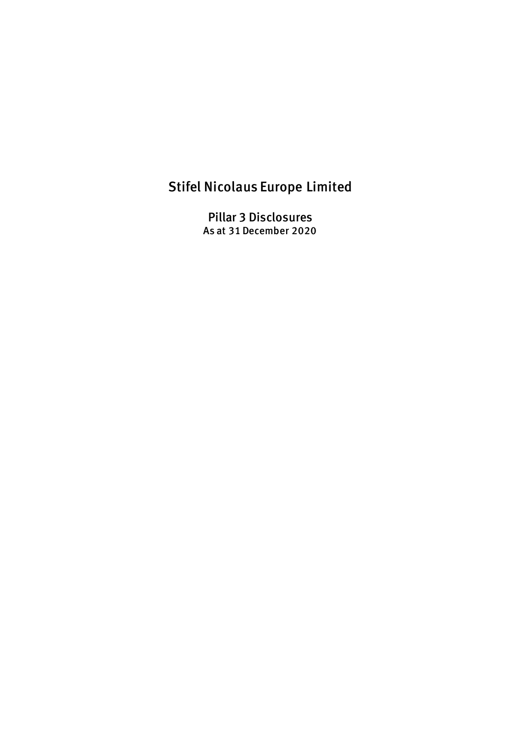# Stifel Nicolaus Europe Limited

Pillar 3 Disclosures As at 31 December 2020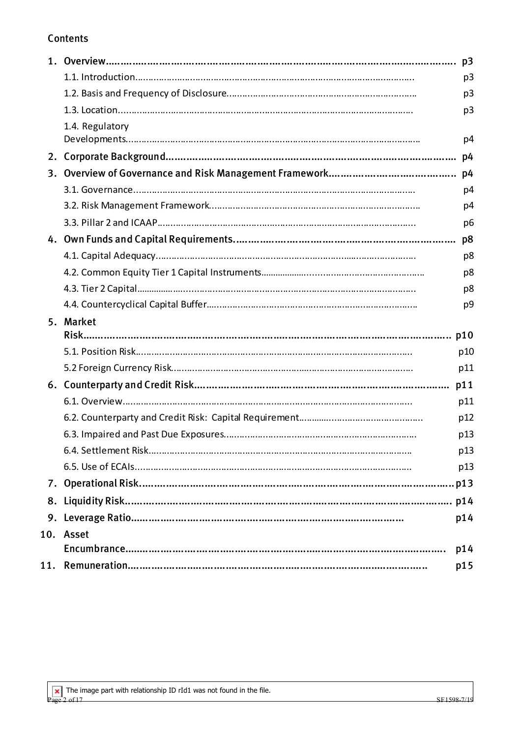# Contents

|                 | p <sub>3</sub> |
|-----------------|----------------|
|                 | p <sub>3</sub> |
|                 | p <sub>3</sub> |
| 1.4. Regulatory |                |
|                 | p4             |
|                 | p4             |
|                 | p4             |
|                 | p4             |
|                 | p4             |
|                 | p <sub>6</sub> |
|                 | p8             |
|                 | p8             |
|                 | p8             |
|                 | p8             |
|                 | p9             |
|                 |                |
| 5. Market       |                |
|                 |                |
|                 | p10            |
|                 | p11            |
|                 | p11            |
|                 | p11            |
|                 | p12            |
|                 | p13            |
|                 | p13            |
|                 | p13            |
|                 |                |
|                 |                |
|                 | p14            |
| 10. Asset       |                |
|                 | p14            |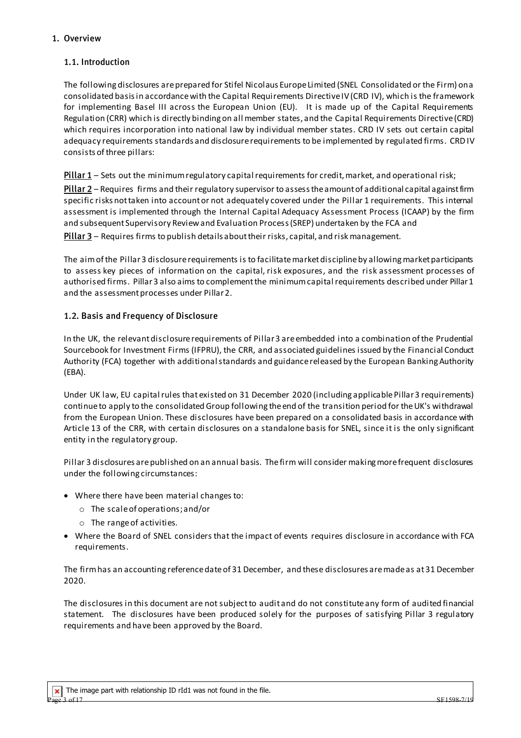# 1. Overview

# 1.1. Introduction

The following disclosures are prepared for Stifel Nicolaus Europe Limited (SNEL Consolidated or the Firm) on a consolidated basis in accordance with the Capital Requirements DirectiveIV(CRD IV), which is the framework for implementing Basel III across the European Union (EU). It is made up of the Capital Requirements Regulation (CRR) which is directly binding on all member states, and the Capital Requirements Directive (CRD) which requires incorporation into national law by individual member states. CRD IV sets out certain capital adequacy requirements standards and disclosure requirements to be implemented by regulated firms. CRD IV consists of three pillars:

Pillar 1 – Sets out the minimum regulatory capital requirements for credit, market, and operational risk;

Pillar 2 – Requires firms and their regulatory supervisor to assessthe amount of additional capital againstfirm specific risks not taken into account or not adequately covered under the Pillar 1 requirements. This internal assessment is implemented through the Internal Capital Adequacy Assessment Process (ICAAP) by the firm and subsequent Supervisory Review and Evaluation Process (SREP) undertaken by the FCA and

Pillar 3 – Requires firms to publish details about their risks, capital, and risk management.

The aim of the Pillar 3 disclosure requirements is to facilitate market discipline by allowing market participants to assess key pieces of information on the capital, risk exposures, and the risk assessment processes of authorised firms. Pillar 3 also aims to complement the minimum capital requirements described under Pillar 1 and the assessment processes under Pillar 2.

# 1.2. Basis and Frequency of Disclosure

In the UK, the relevant disclosure requirements of Pillar 3 are embedded into a combination of the Prudential Sourcebook for Investment Firms (IFPRU), the CRR, and associated guidelines issued by the Financial Conduct Authority (FCA) together with additional standards and guidance released by the European Banking Authority (EBA).

Under UK law, EU capital rules that existed on 31 December 2020 (including applicable Pillar 3 requirements) continue to apply to the consolidated Group following the end of the transition period for the UK's withdrawal from the European Union. These disclosures have been prepared on a consolidated basis in accordance with Article 13 of the CRR, with certain disclosures on a standalone basis for SNEL, since it is the only significant entity in the regulatory group.

Pillar 3 disclosures arepublished on an annual basis. The firm will consider making more frequent disclosures under the following circumstances:

- Where there have been material changes to:
	- o The scale of operations; and/or
	- o The range of activities.
- Where the Board of SNEL considers that the impact of events requires disclosure in accordance with FCA requirements.

The firmhas an accounting reference date of 31 December, and these disclosures are made as at 31 December 2020.

The disclosures in this document are not subject to audit and do not constitute any form of audited financial statement. The disclosures have been produced solely for the purposes of satisfying Pillar 3 regulatory requirements and have been approved by the Board.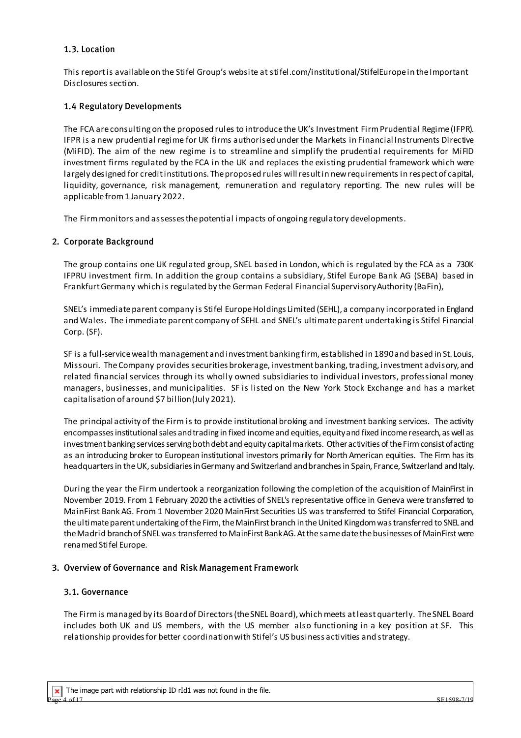## 1.3. Location

This report is available on the Stifel Group's website at stifel.com/institutional/StifelEurope in the Important Disclosures section.

# 1.4 Regulatory Developments

The FCA are consulting on the proposed rules to introduce the UK's Investment Firm Prudential Regime (IFPR). IFPR is a new prudential regime for UK firms authorised under the Markets in Financial Instruments Directive (MiFID). The aim of the new regime is to streamline and simplify the prudential requirements for MiFID investment firms regulated by the FCA in the UK and replaces the existing prudential framework which were largely designed for creditinstitutions. The proposed rules will result in newrequirements in respect of capital, liquidity, governance, risk management, remuneration and regulatory reporting. The new rules will be applicable from 1 January 2022.

The Firm monitors and assesses the potential impacts of ongoing regulatory developments.

#### 2. Corporate Background

The group contains one UK regulated group, SNEL based in London, which is regulated by the FCA as a 730K IFPRU investment firm. In addition the group contains a subsidiary, Stifel Europe Bank AG (SEBA) based in Frankfurt Germany which is regulated by the German Federal Financial Supervisory Authority (BaFin),

SNEL's immediate parent company is Stifel Europe Holdings Limited (SEHL), a company incorporated in England and Wales. The immediate parent company of SEHL and SNEL's ultimate parent undertaking is Stifel Financial Corp. (SF).

SF is a full-service wealth management and investment banking firm, established in 1890 and based in St. Louis, Missouri. The Company provides securities brokerage, investment banking, trading, investment advisory, and related financial services through its wholly owned subsidiaries to individual investors, professional money managers, businesses, and municipalities. SF is listed on the New York Stock Exchange and has a market capitalisation of around \$7 billion(July 2021).

The principal activity of the Firm is to provide institutional broking and investment banking services. The activity encompasses institutional sales and trading in fixed income and equities, equity and fixed income research, as well as investment banking services serving both debt and equity capital markets. Other activities of the Firm consist of acting as an introducing broker to European institutional investors primarily for North American equities. The Firm has its headquarters in the UK, subsidiaries in Germany and Switzerland and branchesin Spain, France, Switzerland and Italy.

During the year the Firm undertook a reorganization following the completion of the acquisition of MainFirst in November 2019. From 1 February 2020 the activities of SNEL's representative office in Geneva were transferred to MainFirst Bank AG. From 1 November 2020 MainFirst Securities US was transferred to Stifel Financial Corporation, the ultimate parentundertaking of the Firm, the MainFirst branch in the United Kingdom was transferred to SNEL and the Madrid branchof SNELwas transferred to MainFirst Bank AG. At the same date the businesses of MainFirst were renamed Stifel Europe.

#### 3. Overview of Governance and Risk Management Framework

#### 3.1. Governance

The Firm is managed by its Board of Directors (the SNEL Board), which meets at leastquarterly. The SNEL Board includes both UK and US members, with the US member also functioning in a key position at SF. This relationship provides for better coordination with Stifel's US business activities and strategy.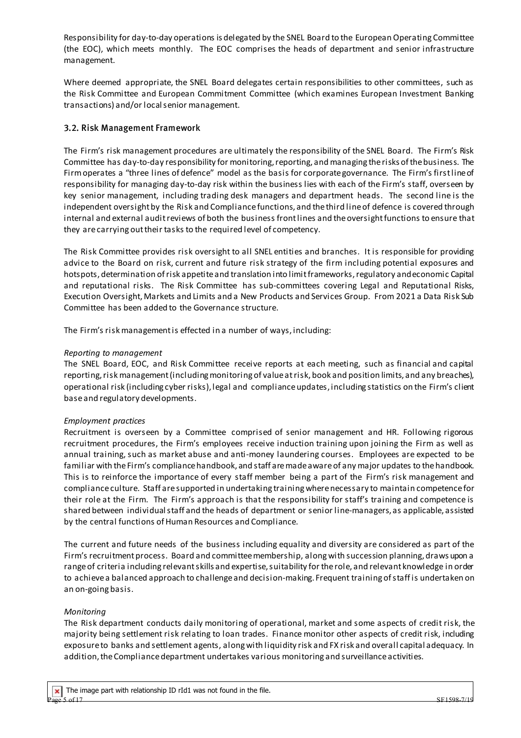Responsibility for day-to-day operations is delegated by the SNEL Board to the European Operating Committee (the EOC), which meets monthly. The EOC comprises the heads of department and senior infrastructure management.

Where deemed appropriate, the SNEL Board delegates certain responsibilities to other committees, such as the Risk Committee and European Commitment Committee (which examines European Investment Banking transactions) and/or local senior management.

# 3.2. Risk Management Framework

The Firm's risk management procedures are ultimately the responsibility of the SNEL Board. The Firm's Risk Committee has day-to-day responsibility for monitoring, reporting, and managing the risks of the business. The Firm operates a "three lines of defence" model as the basis for corporate governance. The Firm's first line of responsibility for managing day-to-day risk within the business lies with each of the Firm's staff, overseen by key senior management, including trading desk managers and department heads. The second line is the independent oversight by the Risk and Compliance functions, and the third line of defence is covered through internal and external audit reviews of both the business front lines and the oversight functions to ensure that they are carrying out their tasks to the required level of competency.

The Risk Committee provides risk oversight to all SNEL entities and branches. It is responsible for providing advice to the Board on risk, current and future risk strategy of the firm including potential exposures and hotspots, determination of risk appetite and translation into limit frameworks, regulatory and economic Capital and reputational risks. The Risk Committee has sub-committees covering Legal and Reputational Risks, Execution Oversight, Markets and Limits and a New Products and Services Group. From 2021 a Data Risk Sub Committee has been added to the Governance structure.

The Firm's risk management is effected in a number of ways, including:

#### *Reporting to management*

The SNEL Board, EOC, and Risk Committee receive reports at each meeting, such as financial and capital reporting, risk management (including monitoring of value at risk, book and position limits, and any breaches), operational risk (including cyber risks), legal and compliance updates, including statistics on the Firm's client base and regulatory developments.

#### *Employment practices*

Recruitment is overseen by a Committee comprised of senior management and HR. Following rigorous recruitment procedures, the Firm's employees receive induction training upon joining the Firm as well as annual training, such as market abuse and anti-money laundering courses. Employees are expected to be familiar with the Firm's compliance handbook, and staff are made aware of any major updates to the handbook. This is to reinforce the importance of every staff member being a part of the Firm's risk management and compliance culture. Staff are supported in undertaking training where necessary to maintain competence for their role at the Firm. The Firm's approach is that the responsibility for staff's training and competence is shared between individual staff and the heads of department or senior line-managers, as applicable, assisted by the central functions of Human Resources and Compliance.

The current and future needs of the business including equality and diversity are considered as part of the Firm's recruitment process. Board and committee membership, along with succession planning, draws upon a range of criteria including relevant skills and expertise, suitability for the role, and relevant knowledge in order to achieve a balanced approach to challenge and decision-making. Frequent training of staff is undertaken on an on-going basis.

#### *Monitoring*

The Risk department conducts daily monitoring of operational, market and some aspects of credit risk, the majority being settlement risk relating to loan trades. Finance monitor other aspects of credit risk, including exposure to banks and settlement agents, along with liquidity risk and FX risk and overall capital adequacy. In addition, the Compliance department undertakes various monitoring and surveillance activities.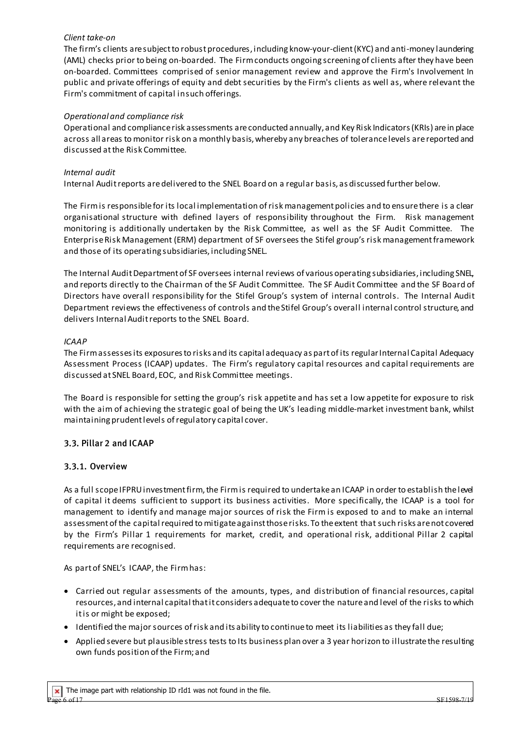#### *Client take-on*

The firm's clients are subject to robust procedures, including know-your-client (KYC) and anti-money laundering (AML) checks prior to being on-boarded. The Firm conducts ongoing screening of clients after they have been on-boarded. Committees comprised of senior management review and approve the Firm's Involvement In public and private offerings of equity and debt securities by the Firm's clients as well as, where relevant the Firm's commitment of capital insuch offerings.

# *Operational and compliance risk*

Operational and compliance risk assessments are conducted annually, and Key Risk Indicators (KRIs) are in place across all areas to monitor risk on a monthly basis, whereby any breaches of tolerance levels are reported and discussed at the Risk Committee.

# *Internal audit*

Internal Audit reports are delivered to the SNEL Board on a regular basis, as discussed further below.

The Firm is responsible for its local implementation of risk management policies and to ensure there is a clear organisational structure with defined layers of responsibility throughout the Firm. Risk management monitoring is additionally undertaken by the Risk Committee, as well as the SF Audit Committee. The Enterprise Risk Management (ERM) department of SF oversees the Stifel group's risk management framework and those of its operating subsidiaries, including SNEL.

The Internal Audit Department of SF oversees internal reviews of various operating subsidiaries, including SNEL, and reports directly to the Chairman of the SF Audit Committee. The SF Audit Committee and the SF Board of Directors have overall responsibility for the Stifel Group's system of internal controls. The Internal Audit Department reviews the effectiveness of controls and the Stifel Group's overall internal control structure, and delivers Internal Audit reports to the SNEL Board.

#### *ICAAP*

The Firm assesses its exposures to risks and its capital adequacy as part of its regular Internal Capital Adequacy Assessment Process (ICAAP) updates. The Firm's regulatory capital resources and capital requirements are discussed at SNEL Board, EOC, and Risk Committee meetings.

The Board is responsible for setting the group's risk appetite and has set a low appetite for exposure to risk with the aim of achieving the strategic goal of being the UK's leading middle-market investment bank, whilst maintaining prudent levels of regulatory capital cover.

# 3.3. Pillar 2 and ICAAP

#### 3.3.1. Overview

As a full scope IFPRU investment firm, the Firmis required to undertake an ICAAP in order to establish the level of capital it deems sufficient to support its business activities. More specifically, the ICAAP is a tool for management to identify and manage major sources of risk the Firm is exposed to and to make an internal assessment of the capital required to mitigate against those risks. To the extent that such risks are not covered by the Firm's Pillar 1 requirements for market, credit, and operational risk, additional Pillar 2 capital requirements are recognised.

As part of SNEL's ICAAP, the Firm has:

- Carried out regular assessments of the amounts, types, and distribution of financial resources, capital resources, and internal capital that it considers adequate to cover the nature and level of the risks to which it is or might be exposed;
- Identified the major sources of risk and its ability to continue to meet its liabilities as they fall due;
- Applied severe but plausible stress tests to Its business plan over a 3 year horizon to illustrate the resulting own funds position of the Firm; and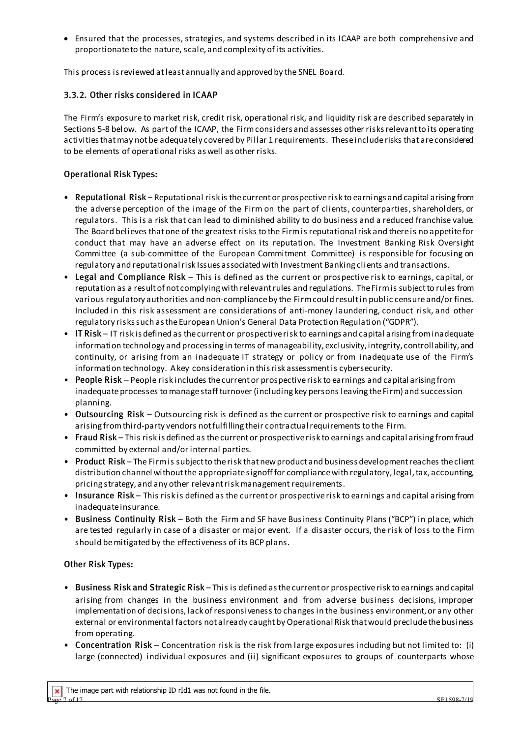• Ensured that the processes, strategies, and systems described in its ICAAP are both comprehensive and proportionate to the nature, scale, and complexity of its activities.

This process is reviewed atleast annually and approved by the SNEL Board.

# 3.3.2. Other risks considered in ICAAP

The Firm's exposure to market risk, credit risk, operational risk, and liquidity risk are described separately in Sections 5-8 below. As part of the ICAAP, the Firm considers and assesses other risks relevant to its operating activities that may not be adequately covered by Pillar 1 requirements. These include risks that are considered to be elements of operational risks as well as other risks.

# Operational Risk Types:

- Reputational Risk Reputational risk is the current or prospective risk to earnings and capital arising from the adverse perception of the image of the Firm on the part of clients, counterparties, shareholders, or regulators. This is a risk that can lead to diminished ability to do business and a reduced franchise value. The Board believes that one of the greatest risks to the Firm is reputational risk and there is no appetite for conduct that may have an adverse effect on its reputation. The Investment Banking Risk Oversight Committee (a sub-committee of the European Commitment Committee) is responsible for focusing on regulatory and reputational risk Issues associated with Investment Banking clients and transactions.
- Legal and Compliance Risk This is defined as the current or prospective risk to earnings, capital, or reputation as a result of not complying with relevant rules and regulations. The Firm is subject to rules from various regulatory authorities and non-compliance by the Firmcould result in public censure and/or fines. Included in this risk assessment are considerations of anti-money laundering, conduct risk, and other regulatory risks such as the European Union's General Data Protection Regulation ("GDPR").
- IT Risk IT risk is defined as the current or prospective risk to earnings and capital arising from inadequate information technology and processing in terms of manageability, exclusivity, integrity, controllability, and continuity, or arising from an inadequate IT strategy or policy or from inadequate use of the Firm's information technology. A key consideration in this risk assessment is cybersecurity.
- People Risk People risk includes the current or prospective risk to earnings and capital arising from inadequate processes to manage staff turnover (including key persons leaving the Firm) and succession planning.
- Outsourcing Risk Outsourcing risk is defined as the current or prospective risk to earnings and capital arising from third-party vendors not fulfilling their contractual requirements to the Firm.
- Fraud Risk This risk is defined as the current or prospective risk to earnings and capital arising fromfraud committed by external and/or internal parties.
- Product Risk The Firm is subject to the risk that new product and business development reaches the client distribution channel without the appropriate signoff for compliance with regulatory, legal, tax, accounting, pricing strategy, and any other relevant risk management requirements.
- Insurance Risk This risk is defined as the current or prospective risk to earnings and capital arising from inadequate insurance.
- Business Continuity Risk Both the Firm and SF have Business Continuity Plans ("BCP") in place, which are tested regularly in case of a disaster or major event. If a disaster occurs, the risk of loss to the Firm should be mitigated by the effectiveness of its BCP plans.

# Other Risk Types:

- Business Risk and Strategic Risk This is defined as the current or prospective risk to earnings and capital arising from changes in the business environment and from adverse business decisions, improper implementation of decisions, lack of responsiveness to changes in the business environment, or any other external or environmental factors not already caught by Operational Risk that would preclude the business from operating.
- Concentration Risk Concentration risk is the risk from large exposures including but not limited to: (i) large (connected) individual exposures and (ii) significant exposures to groups of counterparts whose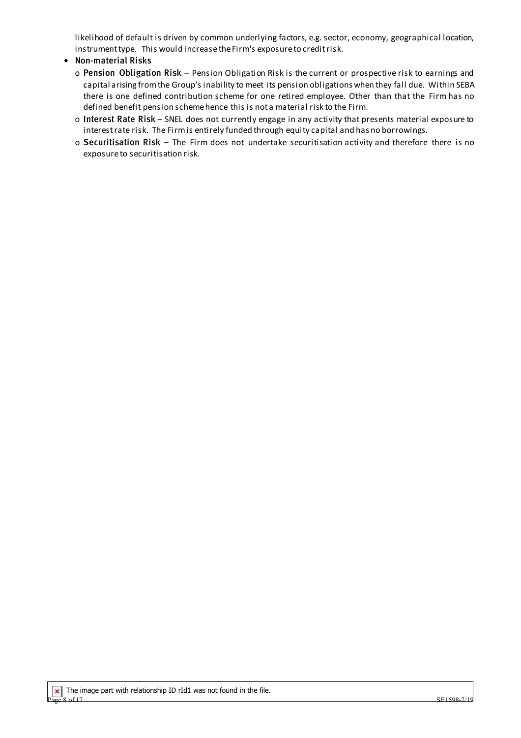likelihood of default is driven by common underlying factors, e.g. sector, economy, geographical location, instrument type. This would increase the Firm's exposure to credit risk.

# **•** Non-material Risks

- o Pension Obligation Risk Pension Obligation Risk is the current or prospective risk to earnings and capital arising from the Group's inability to meet its pension obligations when they fall due. Within SEBA there is one defined contribution scheme for one retired employee. Other than that the Firm has no defined benefit pension scheme hence this is not a material risk to the Firm.
- o Interest Rate Risk SNEL does not currently engage in any activity that presents material exposure to interest rate risk. The Firm is entirely funded through equity capital and has no borrowings.
- o Securitisation Risk The Firm does not undertake securitisation activity and therefore there is no exposure to securitisation risk.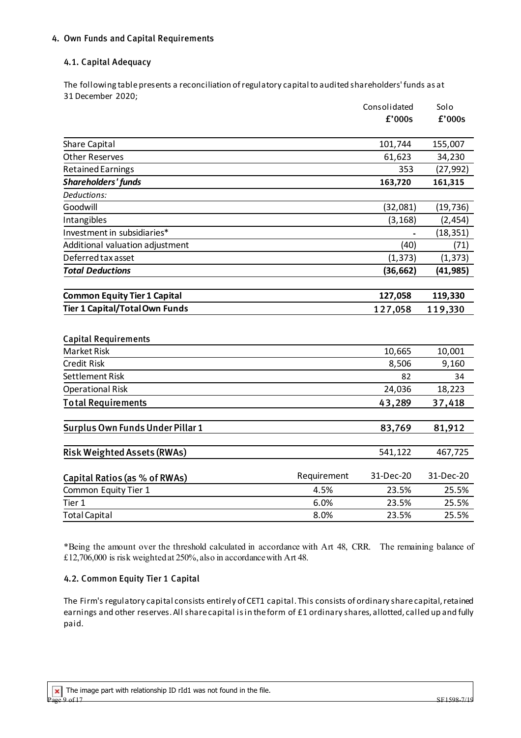# 4. Own Funds and Capital Requirements

# 4.1. Capital Adequacy

The following table presents a reconciliation of regulatory capital to audited shareholders' funds as at 31 December 2020;

|                                       |             | Consolidated | Solo      |
|---------------------------------------|-------------|--------------|-----------|
|                                       |             | £'000s       | f'000s    |
| Share Capital                         |             | 101,744      | 155,007   |
| <b>Other Reserves</b>                 |             | 61,623       | 34,230    |
| <b>Retained Earnings</b>              |             | 353          | (27, 992) |
| <b>Shareholders' funds</b>            |             | 163,720      | 161,315   |
| Deductions:                           |             |              |           |
| Goodwill                              |             | (32,081)     | (19, 736) |
| Intangibles                           |             | (3, 168)     | (2, 454)  |
| Investment in subsidiaries*           |             |              | (18, 351) |
| Additional valuation adjustment       |             | (40)         | (71)      |
| Deferred tax asset                    |             | (1, 373)     | (1, 373)  |
| <b>Total Deductions</b>               |             | (36, 662)    | (41, 985) |
| <b>Common Equity Tier 1 Capital</b>   |             | 127,058      | 119,330   |
| <b>Tier 1 Capital/Total Own Funds</b> |             | 127,058      | 119,330   |
| <b>Capital Requirements</b>           |             |              |           |
| <b>Market Risk</b>                    |             | 10,665       | 10,001    |
| <b>Credit Risk</b>                    |             | 8,506        | 9,160     |
| <b>Settlement Risk</b>                |             | 82           | 34        |
| <b>Operational Risk</b>               |             | 24,036       | 18,223    |
| <b>Total Requirements</b>             |             | 43,289       | 37,418    |
| Surplus Own Funds Under Pillar 1      |             | 83,769       | 81,912    |
| <b>Risk Weighted Assets (RWAs)</b>    |             | 541,122      | 467,725   |
| Capital Ratios (as % of RWAs)         | Requirement | 31-Dec-20    | 31-Dec-20 |
| Common Equity Tier 1                  | 4.5%        | 23.5%        | 25.5%     |
| Tier 1                                | 6.0%        | 23.5%        | 25.5%     |
| <b>Total Capital</b>                  | 8.0%        | 23.5%        | 25.5%     |

\*Being the amount over the threshold calculated in accordance with Art 48, CRR. The remaining balance of £12,706,000 is risk weighted at 250%, also in accordance with Art 48.

#### 4.2. Common Equity Tier 1 Capital

The Firm's regulatory capital consists entirely of CET1 capital. This consists of ordinary share capital, retained earnings and other reserves. All share capital is in the form of £1 ordinary shares, allotted, called up and fully paid.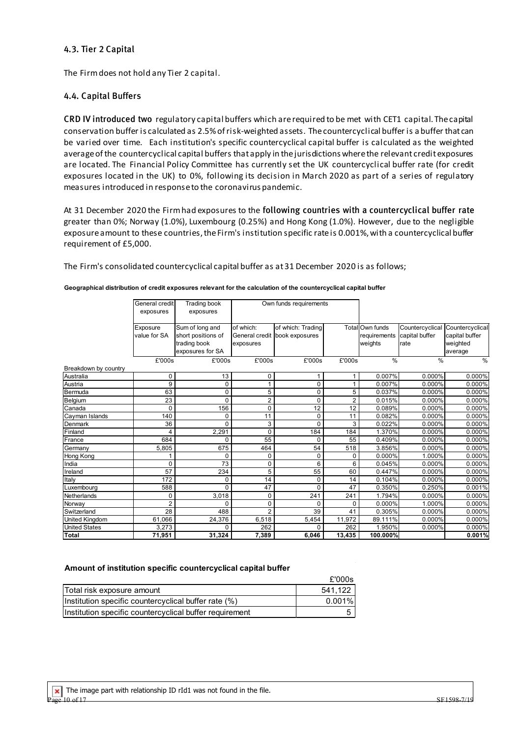## 4.3. Tier 2 Capital

The Firm does not hold any Tier 2 capital.

# 4.4. Capital Buffers

CRD IV introduced two regulatory capital buffers which are required to be met with CET1 capital. The capital conservation buffer is calculated as 2.5% of risk-weighted assets. The countercyclical buffer is a buffer that can be varied over time. Each institution's specific countercyclical capital buffer is calculated as the weighted average of the countercyclical capital buffers that apply in the jurisdictions where the relevant credit exposures are located. The Financial Policy Committee has currently set the UK countercyclical buffer rate (for credit exposures located in the UK) to 0%, following its decision in March 2020 as part of a series of regulatory measures introduced in response to the coronavirus pandemic.

At 31 December 2020 the Firm had exposures to the following countries with a countercyclical buffer rate greater than 0%; Norway (1.0%), Luxembourg (0.25%) and Hong Kong (1.0%). However, due to the negligible exposure amount to these countries, the Firm's institution specific rate is 0.001%, with a countercyclical buffer requirement of £5,000.

The Firm's consolidated countercyclical capital buffer as at 31 December 2020 is as follows;

|                      | General credit | <b>Trading book</b> | Own funds requirements |                               |                |                 |                 |                 |
|----------------------|----------------|---------------------|------------------------|-------------------------------|----------------|-----------------|-----------------|-----------------|
|                      | exposures      | exposures           |                        |                               |                |                 |                 |                 |
|                      |                |                     |                        |                               |                |                 |                 |                 |
|                      | Exposure       | Sum of long and     | of which:              | of which: Trading             |                | Total Own funds | Countercyclical | Countercyclical |
|                      | value for SA   | short positions of  |                        | General credit book exposures |                | requirements    | capital buffer  | capital buffer  |
|                      |                | trading book        | exposures              |                               |                | weights         | rate            | weighted        |
|                      |                | exposures for SA    |                        |                               |                |                 |                 | average         |
|                      | £'000s         | £'000s              | £'000s                 | £'000s                        | £'000s         | $\frac{0}{0}$   | $\frac{9}{6}$   | $\%$            |
| Breakdown by country |                |                     |                        |                               |                |                 |                 |                 |
| Australia            | 0              | 13                  | 0                      | 1                             |                | 0.007%          | 0.000%          | 0.000%          |
| Austria              | 9              | 0                   |                        | 0                             |                | 0.007%          | $0.000\%$       | 0.000%          |
| Bermuda              | 63             | 0                   | 5                      | 0                             | 5              | 0.037%          | 0.000%          | 0.000%          |
| Belgium              | 23             | 0                   | $\overline{c}$         | 0                             | $\overline{2}$ | 0.015%          | 0.000%          | 0.000%          |
| Canada               | 0              | 156                 | 0                      | 12                            | 12             | 0.089%          | 0.000%          | 0.000%          |
| Cayman Islands       | 140            | 0                   | 11                     | $\mathbf 0$                   | 11             | 0.082%          | 0.000%          | 0.000%          |
| Denmark              | 36             | 0                   | 3                      | $\Omega$                      | 3              | 0.022%          | 0.000%          | 0.000%          |
| Finland              | 4              | 2,291               | $\Omega$               | 184                           | 184            | 1.370%          | 0.000%          | 0.000%          |
| France               | 684            | 0                   | 55                     | 0                             | 55             | 0.409%          | 0.000%          | 0.000%          |
| Germany              | 5.805          | 675                 | 464                    | 54                            | 518            | 3.856%          | 0.000%          | 0.000%          |
| Hong Kong            |                | $\Omega$            | 0                      | 0                             | 0              | 0.000%          | 1.000%          | 0.000%          |
| India                | 0              | 73                  | 0                      | 6                             | 6              | 0.045%          | 0.000%          | 0.000%          |
| Ireland              | 57             | 234                 | 5                      | 55                            | 60             | 0.447%          | 0.000%          | 0.000%          |
| Italy                | 172            | 0                   | 14                     | 0                             | 14             | 0.104%          | 0.000%          | 0.000%          |
| Luxemboura           | 588            | 0                   | 47                     | $\Omega$                      | 47             | 0.350%          | 0.250%          | 0.001%          |
| Netherlands          | 0              | 3,018               | 0                      | 241                           | 241            | 1.794%          | 0.000%          | 0.000%          |
| Norway               | $\overline{2}$ | $\Omega$            | 0                      | 0                             | 0              | 0.000%          | 1.000%          | 0.000%          |
| Switzerland          | 28             | 488                 | $\overline{2}$         | 39                            | 41             | 0.305%          | 0.000%          | 0.000%          |
| United Kingdom       | 61,066         | 24,376              | 6,518                  | 5,454                         | 11,972         | 89.111%         | 0.000%          | 0.000%          |
| <b>United States</b> | 3,273          | 0                   | 262                    | $\Omega$                      | 262            | 1.950%          | 0.000%          | 0.000%          |
| Total                | 71,951         | 31,324              | 7,389                  | 6,046                         | 13,435         | 100.000%        |                 | 0.001%          |

#### **Geographical distribution of credit exposures relevant for the calculation of the countercyclical capital buffer**

#### **Amount of institution specific countercyclical capital buffer**

|                                                         | £'000s    |
|---------------------------------------------------------|-----------|
| Total risk exposure amount                              | 541.122   |
| Institution specific countercyclical buffer rate (%)    | $0.001\%$ |
| Institution specific countercyclical buffer requirement |           |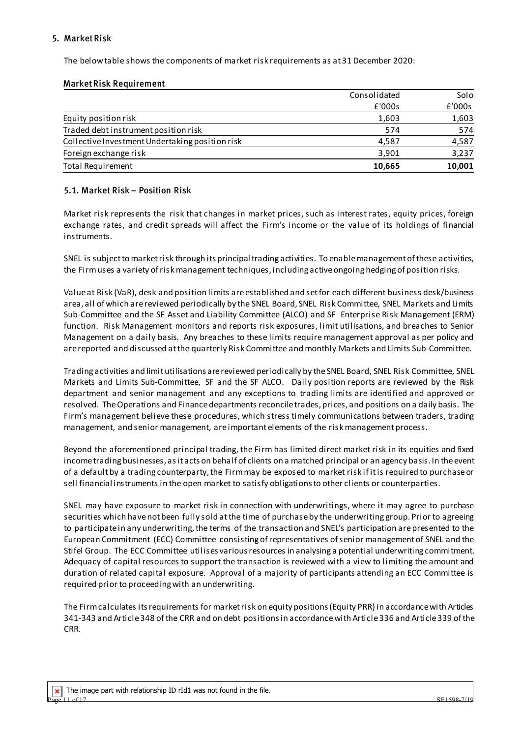# 5. Market Risk

The below table shows the components of market risk requirements as at 31 December 2020:

## Market Risk Requirement

|                                                 | Consolidated | Solo   |
|-------------------------------------------------|--------------|--------|
|                                                 | £'000s       | £'000s |
| Equity position risk                            | 1,603        | 1,603  |
| Traded debt instrument position risk            | 574          | 574    |
| Collective Investment Undertaking position risk | 4.587        | 4,587  |
| Foreign exchange risk                           | 3,901        | 3,237  |
| <b>Total Requirement</b>                        | 10,665       | 10,001 |

# 5.1. Market Risk – Position Risk

Market risk represents the risk that changes in market prices, such as interest rates, equity prices, foreign exchange rates, and credit spreads will affect the Firm's income or the value of its holdings of financial instruments.

SNEL is subject to market risk through its principal trading activities. To enable management of these activities, the Firm uses a variety of risk management techniques, including active ongoing hedging of position risks.

Value at Risk (VaR), desk and position limits are established and set for each different business desk/business area, all of which are reviewed periodically by the SNEL Board, SNEL Risk Committee, SNEL Markets and Limits Sub-Committee and the SF Asset and Liability Committee (ALCO) and SF Enterprise Risk Management (ERM) function. Risk Management monitors and reports risk exposures, limit utilisations, and breaches to Senior Management on a daily basis. Any breaches to these limits require management approval as per policy and are reported and discussed at the quarterly Risk Committee and monthly Markets and Limits Sub-Committee.

Trading activities and limitutilisations are reviewed periodically by the SNEL Board, SNEL Risk Committee, SNEL Markets and Limits Sub-Committee, SF and the SF ALCO. Daily position reports are reviewed by the Risk department and senior management and any exceptions to trading limits are identified and approved or resolved. The Operations and Finance departments reconcile trades, prices, and positions on a daily basis. The Firm's management believe these procedures, which stress timely communications between traders, trading management, and senior management, are important elements of the risk management process.

Beyond the aforementioned principal trading, the Firm has limited direct market risk in its equities and fixed income trading businesses, as it acts on behalf of clients on a matched principal or an agency basis. In the event of a default by a trading counterparty, the Firm may be exposed to market risk if it is required to purchase or sell financial instruments in the open market to satisfy obligations to other clients or counterparties.

SNEL may have exposure to market risk in connection with underwritings, where it may agree to purchase securities which have not been fully sold at the time of purchase by the underwriting group. Prior to agreeing to participate in any underwriting, the terms of the transaction and SNEL's participation are presented to the European Commitment (ECC) Committee consisting of representatives of senior management of SNEL and the Stifel Group. The ECC Committee utilises various resources in analysing a potential underwriting commitment. Adequacy of capital resources to support the transaction is reviewed with a view to limiting the amount and duration of related capital exposure. Approval of a majority of participants attending an ECC Committee is required prior to proceeding with an underwriting.

The Firm calculates its requirements for market risk on equity positions (Equity PRR) in accordance with Articles 341-343 and Article 348 of the CRR and on debt positions in accordance with Article 336 and Article 339 of the CRR.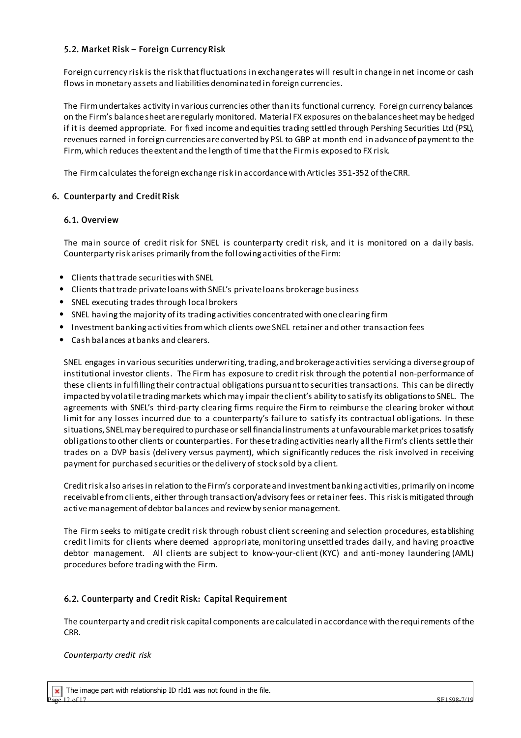# 5.2. Market Risk – Foreign Currency Risk

Foreign currency risk is the risk that fluctuations in exchange rates will result in change in net income or cash flows in monetary assets and liabilities denominated in foreign currencies.

The Firm undertakes activity in various currencies other than its functional currency. Foreign currency balances on the Firm's balance sheet are regularly monitored. Material FX exposures on the balance sheet may be hedged if it is deemed appropriate. For fixed income and equities trading settled through Pershing Securities Ltd (PSL), revenues earned in foreign currencies are converted by PSL to GBP at month end in advance of payment to the Firm, which reduces the extent and the length of time that the Firm is exposed to FX risk.

The Firm calculates the foreign exchange risk in accordance with Articles 351-352 of the CRR.

# 6. Counterparty and Credit Risk

#### 6.1. Overview

The main source of credit risk for SNEL is counterparty credit risk, and it is monitored on a daily basis. Counterparty risk arises primarily from the following activities of the Firm:

- Clients that trade securities with SNEL
- Clients that trade privateloans with SNEL's privateloans brokerage business
- SNEL executing trades through local brokers
- SNEL having the majority of its trading activities concentrated with one clearing firm
- Investment banking activities from which clients owe SNEL retainer and other transaction fees
- Cash balances at banks and clearers.

SNEL engages in various securities underwriting, trading, and brokerage activities servicing a diverse group of institutional investor clients. The Firm has exposure to credit risk through the potential non-performance of these clients in fulfilling their contractual obligations pursuant to securities transactions. This can be directly impacted by volatile trading markets which may impair the client's ability to satisfy its obligations to SNEL. The agreements with SNEL's third-party clearing firms require the Firm to reimburse the clearing broker without limit for any losses incurred due to a counterparty's failure to satisfy its contractual obligations. In these situations, SNEL may be required to purchase or sell financial instruments at unfavourable market prices to satisfy obligations to other clients or counterparties. For these trading activities nearly all the Firm's clients settle their trades on a DVP basis (delivery versus payment), which significantly reduces the risk involved in receiving payment for purchased securities or the delivery of stock sold by a client.

Credit risk also arises in relation to the Firm's corporate and investment banking activities, primarily on income receivable from clients, either through transaction/advisory fees or retainer fees. This risk ismitigated through active management of debtor balances and review by senior management.

The Firm seeks to mitigate credit risk through robust client screening and selection procedures, establishing credit limits for clients where deemed appropriate, monitoring unsettled trades daily, and having proactive debtor management. All clients are subject to know-your-client (KYC) and anti-money laundering (AML) procedures before trading with the Firm.

# 6.2. Counterparty and Credit Risk: Capital Requirement

The counterparty and credit risk capital components arecalculated in accordance with the requirements of the CRR.

#### *Counterparty credit risk*

The image part with relationship ID rId1 was not found in the file.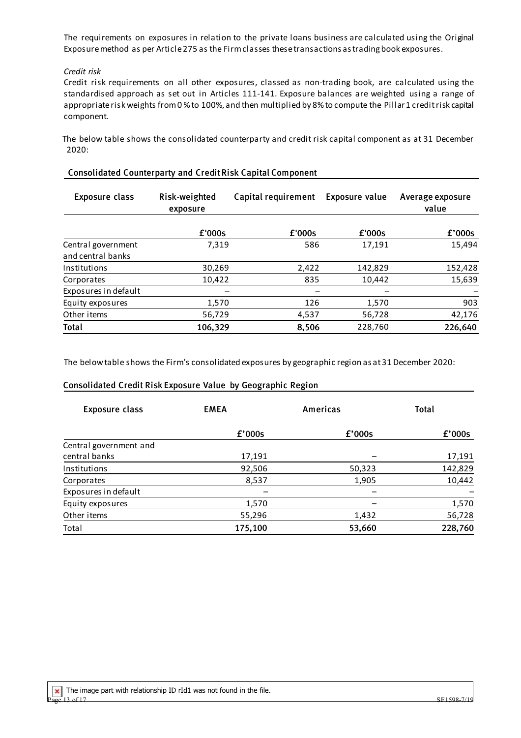The requirements on exposures in relation to the private loans business are calculated using the Original Exposure method as per Article 275 as the Firm classes these transactions as trading book exposures.

#### *Credit risk*

Credit risk requirements on all other exposures, classed as non-trading book, are calculated using the standardised approach as set out in Articles 111-141. Exposure balances are weighted using a range of appropriate risk weights from 0 % to 100%, and then multiplied by 8% to compute the Pillar 1 credit risk capital component.

 The below table shows the consolidated counterparty and credit risk capital component as at 31 December 2020:

| <b>Exposure class</b>                   | Risk-weighted<br>exposure | Capital requirement | Exposure value | Average exposure<br>value |
|-----------------------------------------|---------------------------|---------------------|----------------|---------------------------|
|                                         | £'000s                    | £'000s              | £'000s         | f'000s                    |
| Central government<br>and central banks | 7,319                     | 586                 | 17,191         | 15,494                    |
| Institutions                            | 30,269                    | 2,422               | 142,829        | 152,428                   |
| Corporates                              | 10,422                    | 835                 | 10,442         | 15,639                    |
| Exposures in default                    |                           |                     |                |                           |
| Equity exposures                        | 1,570                     | 126                 | 1,570          | 903                       |
| Other items                             | 56,729                    | 4,537               | 56,728         | 42,176                    |
| Total                                   | 106,329                   | 8,506               | 228,760        | 226,640                   |

#### Consolidated Counterparty and Credit Risk Capital Component

The below table shows the Firm's consolidated exposures by geographic region as at 31 December 2020:

#### Consolidated Credit Risk Exposure Value by Geographic Region

| <b>Exposure class</b>  | <b>EMEA</b> | Americas | Total   |
|------------------------|-------------|----------|---------|
|                        | £'000s      | f'000s   | f'000s  |
| Central government and |             |          |         |
| central banks          | 17,191      |          | 17,191  |
| Institutions           | 92,506      | 50,323   | 142,829 |
| Corporates             | 8,537       | 1,905    | 10,442  |
| Exposures in default   |             |          |         |
| Equity exposures       | 1,570       |          | 1,570   |
| Other items            | 55,296      | 1,432    | 56,728  |
| Total                  | 175,100     | 53,660   | 228,760 |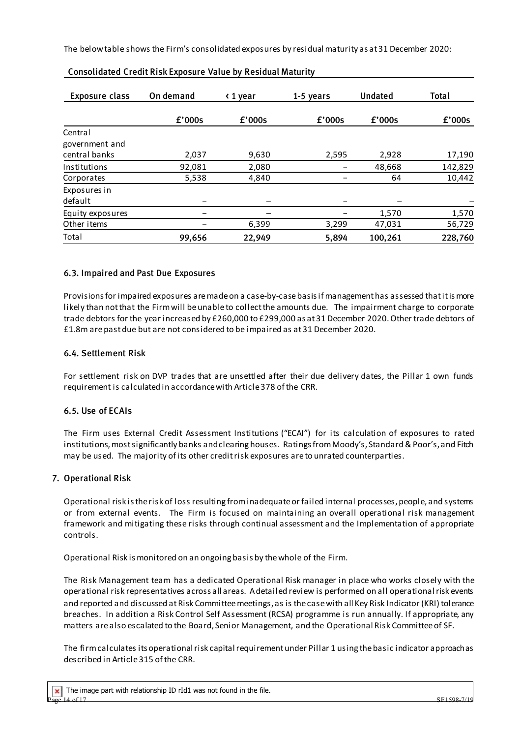The below table shows the Firm's consolidated exposures by residual maturity as at 31 December 2020:

| <b>Exposure class</b> | On demand | ← 1 year | 1-5 years | <b>Undated</b> | Total   |
|-----------------------|-----------|----------|-----------|----------------|---------|
|                       | f'000s    | f'000s   | f'000s    | £'000s         | f'000s  |
| Central               |           |          |           |                |         |
| government and        |           |          |           |                |         |
| central banks         | 2,037     | 9,630    | 2,595     | 2,928          | 17,190  |
| Institutions          | 92,081    | 2,080    |           | 48,668         | 142,829 |
| Corporates            | 5,538     | 4,840    |           | 64             | 10,442  |
| Exposures in          |           |          |           |                |         |
| default               |           |          |           |                |         |
| Equity exposures      |           |          |           | 1,570          | 1,570   |
| Other items           |           | 6,399    | 3,299     | 47,031         | 56,729  |
| Total                 | 99,656    | 22,949   | 5,894     | 100,261        | 228,760 |

# Consolidated Credit Risk Exposure Value by Residual Maturity

# 6.3. Impaired and Past Due Exposures

Provisions for impaired exposures are made on a case-by-case basis if management has assessed thatitismore likely than notthat the Firmwill beunableto collectthe amounts due. The impairment charge to corporate trade debtors for the year increased by £260,000 to £299,000 as at 31 December 2020. Other trade debtors of £1.8m are past due but are not considered to be impaired as at 31 December 2020.

#### 6.4. Settlement Risk

For settlement risk on DVP trades that are unsettled after their due delivery dates, the Pillar 1 own funds requirement is calculated in accordance with Article 378 of the CRR.

#### 6.5. Use of ECAIs

The Firm uses External Credit Assessment Institutions ("ECAI") for its calculation of exposures to rated institutions, most significantly banks and clearing houses. Ratings from Moody's, Standard & Poor's, and Fitch may be used. The majority of its other credit risk exposures are to unrated counterparties.

#### 7. Operational Risk

Operational risk is the risk of loss resulting from inadequate or failed internal processes, people, and systems or from external events. The Firm is focused on maintaining an overall operational risk management framework and mitigating these risks through continual assessment and the Implementation of appropriate controls.

Operational Risk is monitored on an ongoing basis by the whole of the Firm.

The Risk Management team has a dedicated Operational Risk manager in place who works closely with the operational risk representatives across all areas. A detailed review is performed on all operational risk events and reported and discussed at Risk Committeemeetings, as is the case with all Key Risk Indicator (KRI) tolerance breaches. In addition a Risk Control Self Assessment (RCSA) programme is run annually. If appropriate, any matters are also escalated to the Board, Senior Management, and the Operational Risk Committee of SF.

The firm calculates its operational risk capital requirement under Pillar 1 using the basic indicator approach as described in Article 315 of the CRR.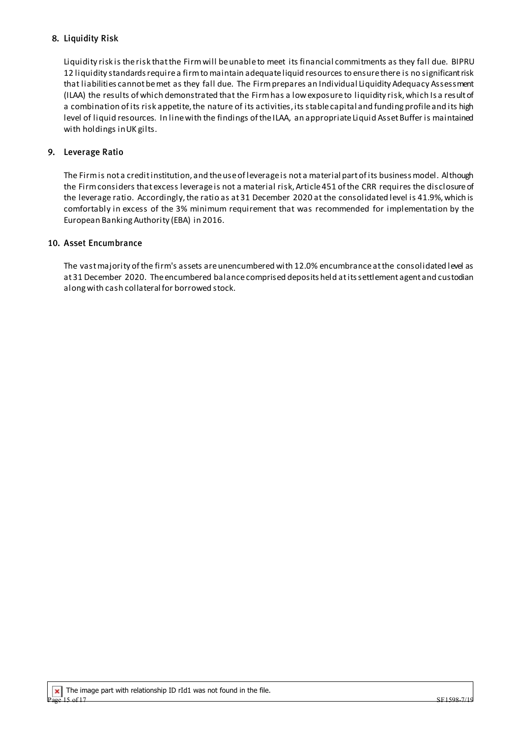# 8. Liquidity Risk

Liquidity risk is the risk that the Firm will be unable to meet its financial commitments as they fall due. BIPRU 12 liquidity standards require a firm to maintain adequate liquid resources to ensure there is no significant risk that liabilities cannot be met as they fall due. The Firm prepares an Individual Liquidity Adequacy Assessment (ILAA) the results of which demonstrated that the Firm has a low exposure to liquidity risk, which Is a result of a combination of its risk appetite, the nature of its activities, its stable capital and funding profile and its high level of liquid resources. In line with the findings of theILAA, an appropriate Liquid Asset Buffer is maintained with holdings in UK gilts.

# 9. Leverage Ratio

The Firm is not a credit institution, and the use of leverage is not a material part of its business model. Although the Firm considers that excess leverage is not a material risk, Article 451 of the CRR requires the disclosure of the leverage ratio. Accordingly, the ratio as at 31 December 2020 at the consolidated level is 41.9%, which is comfortably in excess of the 3% minimum requirement that was recommended for implementation by the European Banking Authority (EBA) in 2016.

#### 10. Asset Encumbrance

The vast majority of the firm's assets are unencumbered with 12.0% encumbrance at the consolidated level as at 31 December 2020. The encumbered balance comprised deposits held at its settlement agent and custodian along with cash collateral for borrowed stock.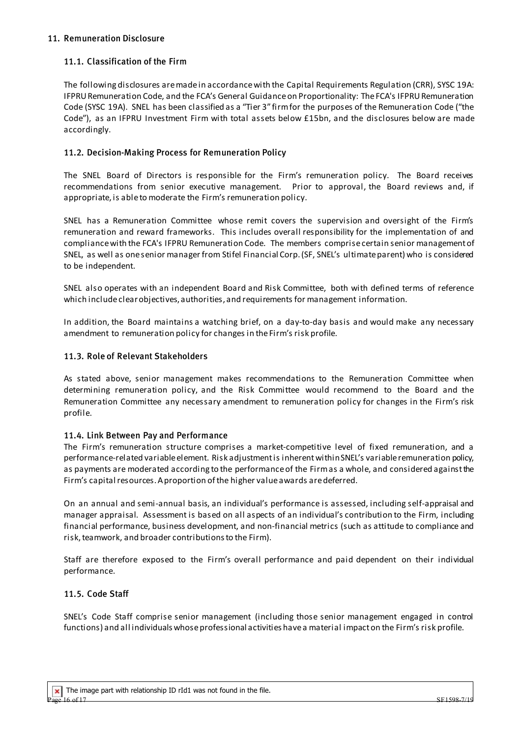# 11.1. Classification of the Firm

The following disclosures are made in accordance with the Capital Requirements Regulation (CRR), SYSC 19A: IFPRU Remuneration Code, and the FCA's General Guidance on Proportionality: The FCA's IFPRURemuneration Code (SYSC 19A). SNEL has been classified as a "Tier 3" firm for the purposes of the Remuneration Code ("the Code"), as an IFPRU Investment Firm with total assets below £15bn, and the disclosures below are made accordingly.

# 11.2. Decision-Making Process for Remuneration Policy

The SNEL Board of Directors is responsible for the Firm's remuneration policy. The Board receives recommendations from senior executive management. Prior to approval, the Board reviews and, if appropriate, is able to moderate the Firm's remuneration policy.

SNEL has a Remuneration Committee whose remit covers the supervision and oversight of the Firm's remuneration and reward frameworks. This includes overall responsibility for the implementation of and compliance with the FCA's IFPRU Remuneration Code. The members comprise certain senior management of SNEL, as well as one senior manager from Stifel Financial Corp.(SF, SNEL's ultimate parent) who is considered to be independent.

SNEL also operates with an independent Board and Risk Committee, both with defined terms of reference which include clear objectives, authorities, and requirements for management information.

In addition, the Board maintains a watching brief, on a day-to-day basis and would make any necessary amendment to remuneration policy for changes in the Firm's risk profile.

# 11.3. Role of Relevant Stakeholders

As stated above, senior management makes recommendations to the Remuneration Committee when determining remuneration policy, and the Risk Committee would recommend to the Board and the Remuneration Committee any necessary amendment to remuneration policy for changes in the Firm's risk profile.

#### 11.4. Link Between Pay and Performance

The Firm's remuneration structure comprises a market-competitive level of fixed remuneration, and a performance-related variable element. Risk adjustment is inherent within SNEL's variable remuneration policy, as payments are moderated according to the performance of the Firm as a whole, and considered against the Firm's capital resources.A proportion of the higher value awards are deferred.

On an annual and semi-annual basis, an individual's performance is assessed, including self-appraisal and manager appraisal. Assessment is based on all aspects of an individual's contribution to the Firm, including financial performance, business development, and non-financial metrics (such as attitude to compliance and risk, teamwork, and broader contributions to the Firm).

Staff are therefore exposed to the Firm's overall performance and paid dependent on their individual performance.

# 11.5. Code Staff

SNEL's Code Staff comprise senior management (including those senior management engaged in control functions) and all individuals whose professional activities have a material impact on the Firm's risk profile.